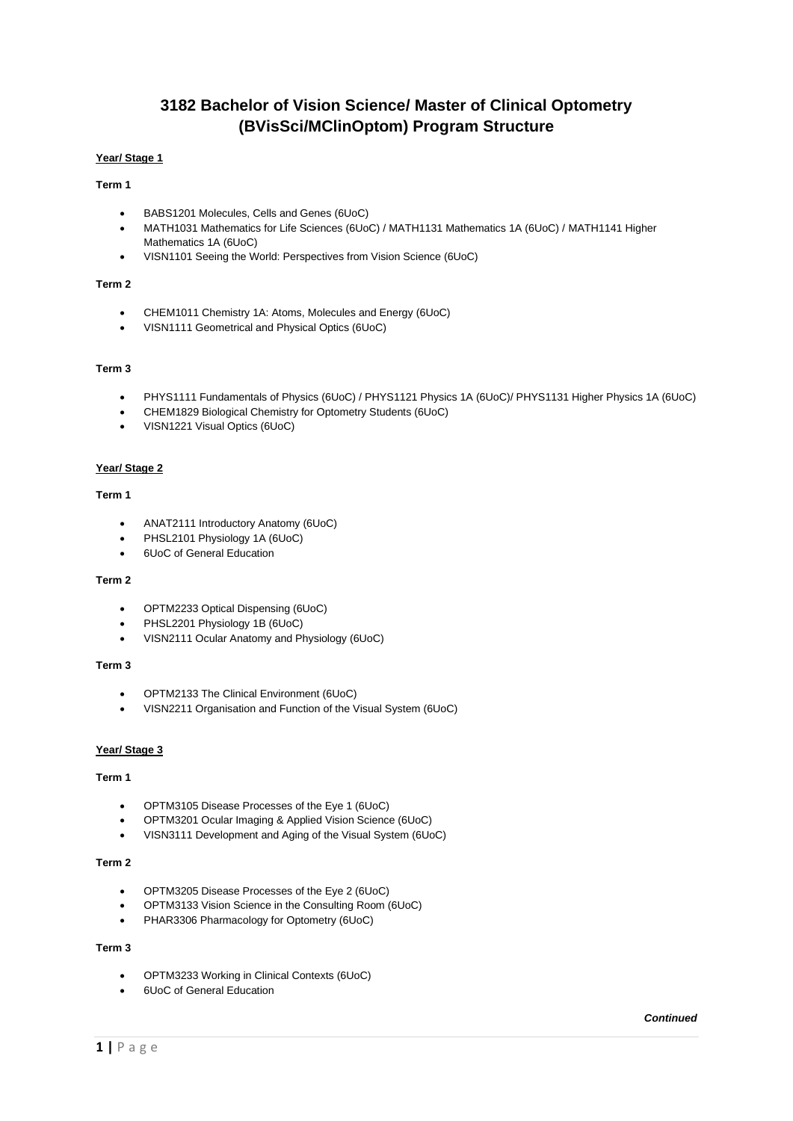# **3182 Bachelor of Vision Science/ Master of Clinical Optometry (BVisSci/MClinOptom) Program Structure**

# **Year/ Stage 1**

# **Term 1**

- BABS1201 Molecules, Cells and Genes (6UoC)
- MATH1031 Mathematics for Life Sciences (6UoC) / MATH1131 Mathematics 1A (6UoC) / MATH1141 Higher Mathematics 1A (6UoC)
- VISN1101 Seeing the World: Perspectives from Vision Science (6UoC)

# **Term 2**

- CHEM1011 Chemistry 1A: Atoms, Molecules and Energy (6UoC)
- VISN1111 Geometrical and Physical Optics (6UoC)

# **Term 3**

- PHYS1111 Fundamentals of Physics (6UoC) / PHYS1121 Physics 1A (6UoC)/ PHYS1131 Higher Physics 1A (6UoC)
- CHEM1829 Biological Chemistry for Optometry Students (6UoC)
- VISN1221 Visual Optics (6UoC)

### **Year/ Stage 2**

# **Term 1**

- ANAT2111 Introductory Anatomy (6UoC)
- PHSL2101 Physiology 1A (6UoC)
- 6UoC of General Education

### **Term 2**

- OPTM2233 Optical Dispensing (6UoC)
- PHSL2201 Physiology 1B (6UoC)
- VISN2111 Ocular Anatomy and Physiology (6UoC)

### **Term 3**

- OPTM2133 The Clinical Environment (6UoC)
- VISN2211 Organisation and Function of the Visual System (6UoC)

#### **Year/ Stage 3**

### **Term 1**

- OPTM3105 Disease Processes of the Eye 1 (6UoC)
- OPTM3201 Ocular Imaging & Applied Vision Science (6UoC)
- VISN3111 Development and Aging of the Visual System (6UoC)

#### **Term 2**

- OPTM3205 Disease Processes of the Eye 2 (6UoC)
- OPTM3133 Vision Science in the Consulting Room (6UoC)
- PHAR3306 Pharmacology for Optometry (6UoC)

#### **Term 3**

- OPTM3233 Working in Clinical Contexts (6UoC)
- 6UoC of General Education